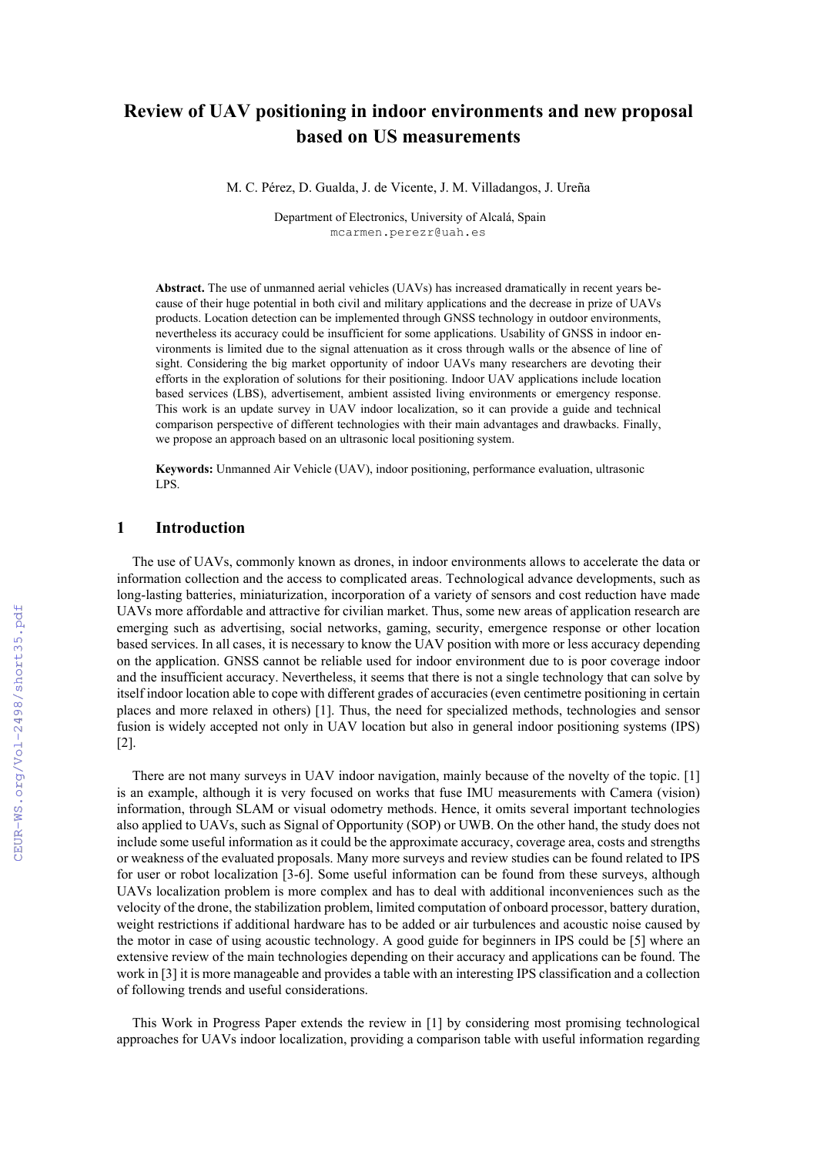# **Review of UAV positioning in indoor environments and new proposal based on US measurements**

M. C. Pérez, D. Gualda, J. de Vicente, J. M. Villadangos, J. Ureña

 Department of Electronics, University of Alcalá, Spain mcarmen.perezr@uah.es

**Abstract.** The use of unmanned aerial vehicles (UAVs) has increased dramatically in recent years because of their huge potential in both civil and military applications and the decrease in prize of UAVs products. Location detection can be implemented through GNSS technology in outdoor environments, nevertheless its accuracy could be insufficient for some applications. Usability of GNSS in indoor environments is limited due to the signal attenuation as it cross through walls or the absence of line of sight. Considering the big market opportunity of indoor UAVs many researchers are devoting their efforts in the exploration of solutions for their positioning. Indoor UAV applications include location based services (LBS), advertisement, ambient assisted living environments or emergency response. This work is an update survey in UAV indoor localization, so it can provide a guide and technical comparison perspective of different technologies with their main advantages and drawbacks. Finally, we propose an approach based on an ultrasonic local positioning system.

**Keywords:** Unmanned Air Vehicle (UAV), indoor positioning, performance evaluation, ultrasonic LPS.

#### **1 Introduction**

The use of UAVs, commonly known as drones, in indoor environments allows to accelerate the data or information collection and the access to complicated areas. Technological advance developments, such as long-lasting batteries, miniaturization, incorporation of a variety of sensors and cost reduction have made UAVs more affordable and attractive for civilian market. Thus, some new areas of application research are emerging such as advertising, social networks, gaming, security, emergence response or other location based services. In all cases, it is necessary to know the UAV position with more or less accuracy depending on the application. GNSS cannot be reliable used for indoor environment due to is poor coverage indoor and the insufficient accuracy. Nevertheless, it seems that there is not a single technology that can solve by itself indoor location able to cope with different grades of accuracies (even centimetre positioning in certain places and more relaxed in others) [1]. Thus, the need for specialized methods, technologies and sensor fusion is widely accepted not only in UAV location but also in general indoor positioning systems (IPS) [2].

There are not many surveys in UAV indoor navigation, mainly because of the novelty of the topic. [1] is an example, although it is very focused on works that fuse IMU measurements with Camera (vision) information, through SLAM or visual odometry methods. Hence, it omits several important technologies also applied to UAVs, such as Signal of Opportunity (SOP) or UWB. On the other hand, the study does not include some useful information as it could be the approximate accuracy, coverage area, costs and strengths or weakness of the evaluated proposals. Many more surveys and review studies can be found related to IPS for user or robot localization [3-6]. Some useful information can be found from these surveys, although UAVs localization problem is more complex and has to deal with additional inconveniences such as the velocity of the drone, the stabilization problem, limited computation of onboard processor, battery duration, weight restrictions if additional hardware has to be added or air turbulences and acoustic noise caused by the motor in case of using acoustic technology. A good guide for beginners in IPS could be [5] where an extensive review of the main technologies depending on their accuracy and applications can be found. The work in [3] it is more manageable and provides a table with an interesting IPS classification and a collection of following trends and useful considerations.

This Work in Progress Paper extends the review in [1] by considering most promising technological approaches for UAVs indoor localization, providing a comparison table with useful information regarding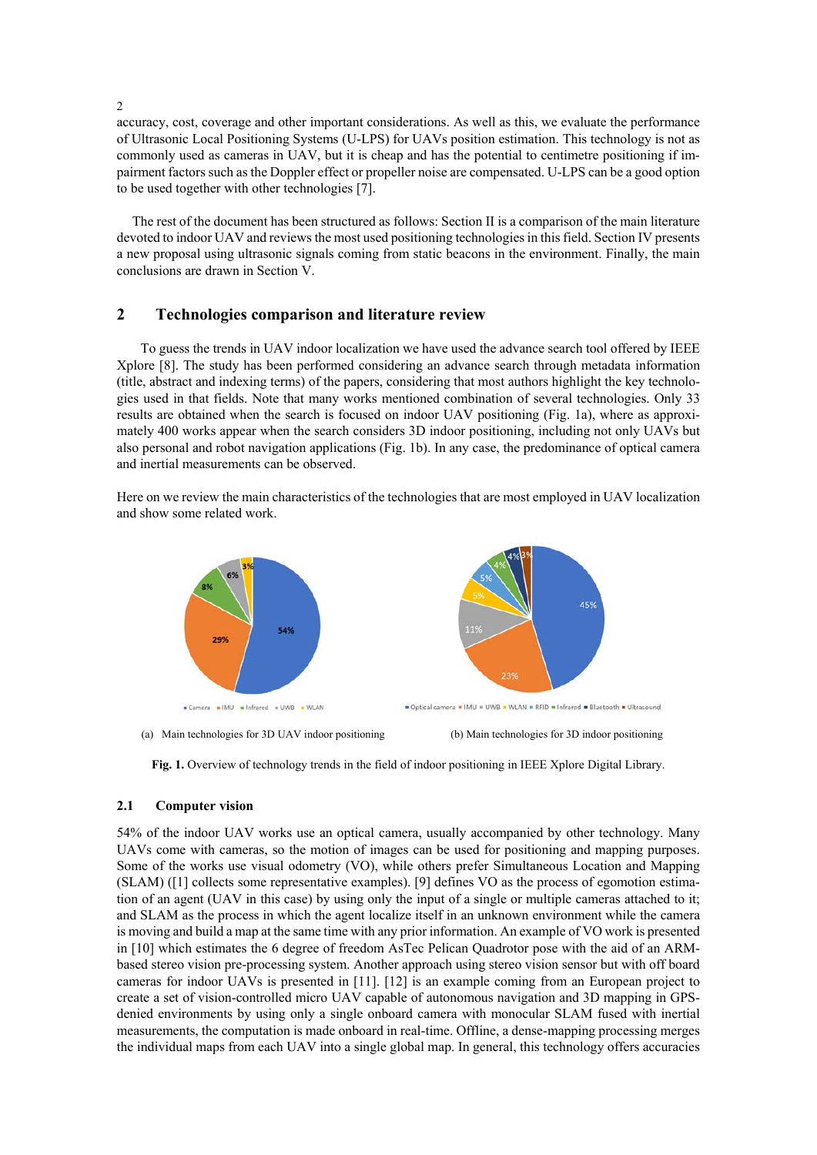accuracy, cost, coverage and other important considerations. As well as this, we evaluate the performance of Ultrasonic Local Positioning Systems (U-LPS) for UAVs position estimation. This technology is not as commonly used as cameras in UAV, but it is cheap and has the potential to centimetre positioning if impairment factors such as the Doppler effect or propeller noise are compensated. U-LPS can be a good option to be used together with other technologies [7].

The rest of the document has been structured as follows: Section II is a comparison of the main literature devoted to indoor UAV and reviews the most used positioning technologies in this field. Section IV presents a new proposal using ultrasonic signals coming from static beacons in the environment. Finally, the main conclusions are drawn in Section V.

# **2 Technologies comparison and literature review**

 To guess the trends in UAV indoor localization we have used the advance search tool offered by IEEE Xplore [8]. The study has been performed considering an advance search through metadata information (title, abstract and indexing terms) of the papers, considering that most authors highlight the key technologies used in that fields. Note that many works mentioned combination of several technologies. Only 33 results are obtained when the search is focused on indoor UAV positioning (Fig. 1a), where as approximately 400 works appear when the search considers 3D indoor positioning, including not only UAVs but also personal and robot navigation applications (Fig. 1b). In any case, the predominance of optical camera and inertial measurements can be observed.

Here on we review the main characteristics of the technologies that are most employed in UAV localization and show some related work.



**Fig. 1.** Overview of technology trends in the field of indoor positioning in IEEE Xplore Digital Library.

### **2.1 Computer vision**

54% of the indoor UAV works use an optical camera, usually accompanied by other technology. Many UAVs come with cameras, so the motion of images can be used for positioning and mapping purposes. Some of the works use visual odometry (VO), while others prefer Simultaneous Location and Mapping (SLAM) ([1] collects some representative examples). [9] defines VO as the process of egomotion estimation of an agent (UAV in this case) by using only the input of a single or multiple cameras attached to it; and SLAM as the process in which the agent localize itself in an unknown environment while the camera is moving and build a map at the same time with any prior information. An example of VO work is presented in [10] which estimates the 6 degree of freedom AsTec Pelican Quadrotor pose with the aid of an ARMbased stereo vision pre-processing system. Another approach using stereo vision sensor but with off board cameras for indoor UAVs is presented in [11]. [12] is an example coming from an European project to create a set of vision-controlled micro UAV capable of autonomous navigation and 3D mapping in GPSdenied environments by using only a single onboard camera with monocular SLAM fused with inertial measurements, the computation is made onboard in real-time. Offline, a dense-mapping processing merges the individual maps from each UAV into a single global map. In general, this technology offers accuracies

2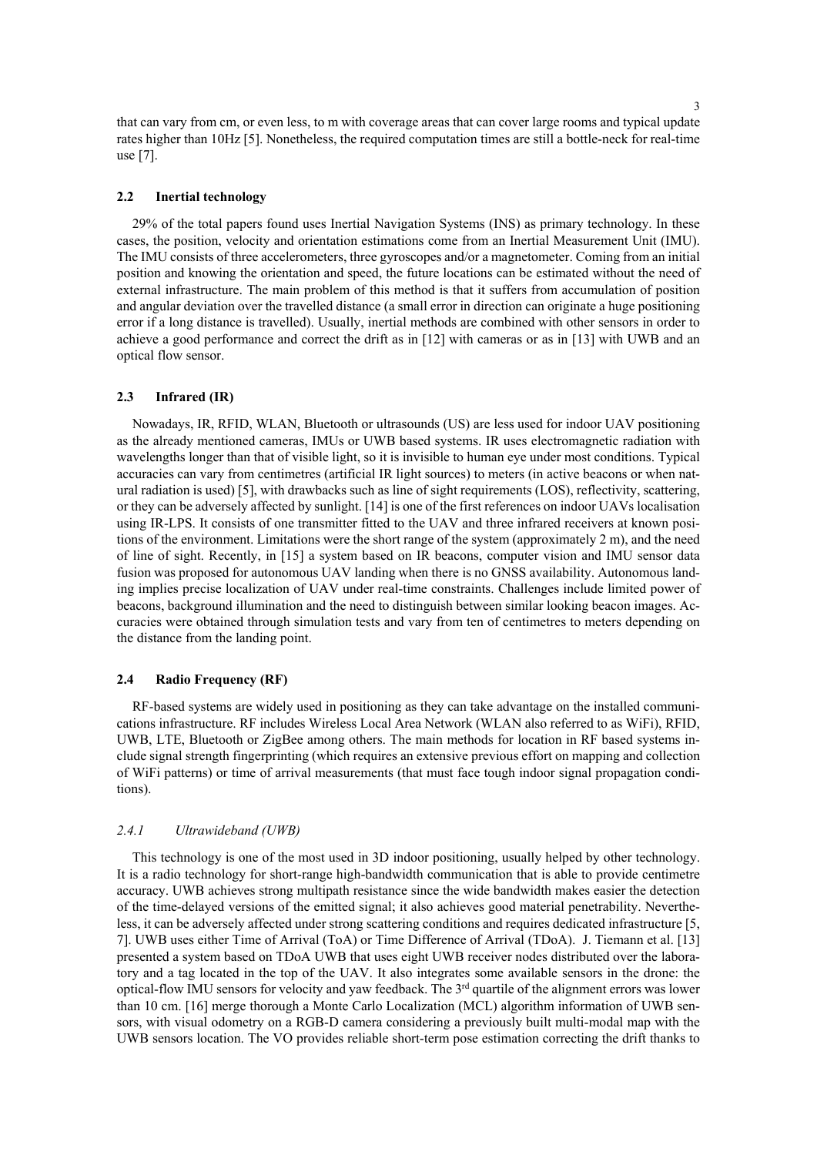that can vary from cm, or even less, to m with coverage areas that can cover large rooms and typical update rates higher than 10Hz [5]. Nonetheless, the required computation times are still a bottle-neck for real-time use [7].

#### **2.2 Inertial technology**

29% of the total papers found uses Inertial Navigation Systems (INS) as primary technology. In these cases, the position, velocity and orientation estimations come from an Inertial Measurement Unit (IMU). The IMU consists of three accelerometers, three gyroscopes and/or a magnetometer. Coming from an initial position and knowing the orientation and speed, the future locations can be estimated without the need of external infrastructure. The main problem of this method is that it suffers from accumulation of position and angular deviation over the travelled distance (a small error in direction can originate a huge positioning error if a long distance is travelled). Usually, inertial methods are combined with other sensors in order to achieve a good performance and correct the drift as in [12] with cameras or as in [13] with UWB and an optical flow sensor.

### **2.3 Infrared (IR)**

Nowadays, IR, RFID, WLAN, Bluetooth or ultrasounds (US) are less used for indoor UAV positioning as the already mentioned cameras, IMUs or UWB based systems. IR uses electromagnetic radiation with wavelengths longer than that of visible light, so it is invisible to human eye under most conditions. Typical accuracies can vary from centimetres (artificial IR light sources) to meters (in active beacons or when natural radiation is used) [5], with drawbacks such as line of sight requirements (LOS), reflectivity, scattering, or they can be adversely affected by sunlight. [14] is one of the first references on indoor UAVs localisation using IR-LPS. It consists of one transmitter fitted to the UAV and three infrared receivers at known positions of the environment. Limitations were the short range of the system (approximately 2 m), and the need of line of sight. Recently, in [15] a system based on IR beacons, computer vision and IMU sensor data fusion was proposed for autonomous UAV landing when there is no GNSS availability. Autonomous landing implies precise localization of UAV under real-time constraints. Challenges include limited power of beacons, background illumination and the need to distinguish between similar looking beacon images. Accuracies were obtained through simulation tests and vary from ten of centimetres to meters depending on the distance from the landing point.

#### **2.4 Radio Frequency (RF)**

RF-based systems are widely used in positioning as they can take advantage on the installed communications infrastructure. RF includes Wireless Local Area Network (WLAN also referred to as WiFi), RFID, UWB, LTE, Bluetooth or ZigBee among others. The main methods for location in RF based systems include signal strength fingerprinting (which requires an extensive previous effort on mapping and collection of WiFi patterns) or time of arrival measurements (that must face tough indoor signal propagation conditions).

#### *2.4.1 Ultrawideband (UWB)*

This technology is one of the most used in 3D indoor positioning, usually helped by other technology. It is a radio technology for short-range high-bandwidth communication that is able to provide centimetre accuracy. UWB achieves strong multipath resistance since the wide bandwidth makes easier the detection of the time-delayed versions of the emitted signal; it also achieves good material penetrability. Nevertheless, it can be adversely affected under strong scattering conditions and requires dedicated infrastructure [5, 7]. UWB uses either Time of Arrival (ToA) or Time Difference of Arrival (TDoA). J. Tiemann et al. [13] presented a system based on TDoA UWB that uses eight UWB receiver nodes distributed over the laboratory and a tag located in the top of the UAV. It also integrates some available sensors in the drone: the optical-flow IMU sensors for velocity and yaw feedback. The  $3<sup>rd</sup>$  quartile of the alignment errors was lower than 10 cm. [16] merge thorough a Monte Carlo Localization (MCL) algorithm information of UWB sensors, with visual odometry on a RGB-D camera considering a previously built multi-modal map with the UWB sensors location. The VO provides reliable short-term pose estimation correcting the drift thanks to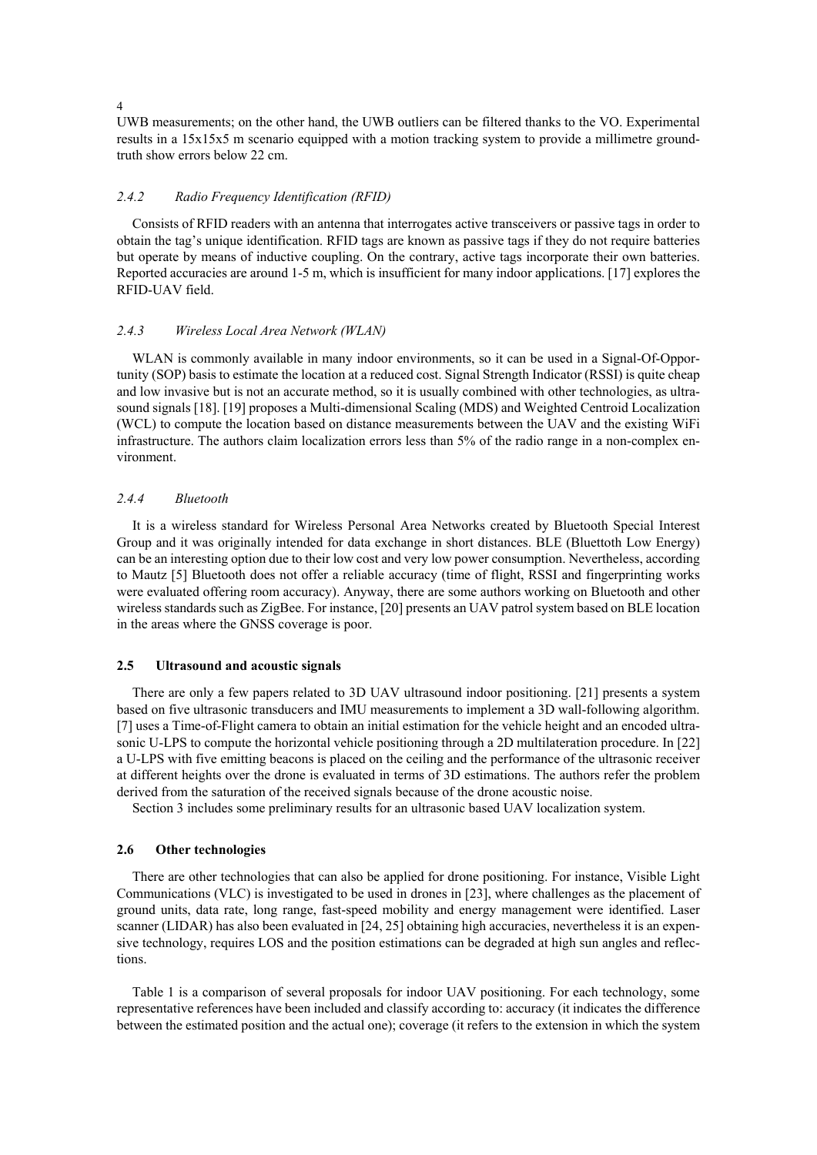4

UWB measurements; on the other hand, the UWB outliers can be filtered thanks to the VO. Experimental results in a 15x15x5 m scenario equipped with a motion tracking system to provide a millimetre groundtruth show errors below 22 cm.

### *2.4.2 Radio Frequency Identification (RFID)*

Consists of RFID readers with an antenna that interrogates active transceivers or passive tags in order to obtain the tag's unique identification. RFID tags are known as passive tags if they do not require batteries but operate by means of inductive coupling. On the contrary, active tags incorporate their own batteries. Reported accuracies are around 1-5 m, which is insufficient for many indoor applications. [17] explores the RFID-UAV field.

#### *2.4.3 Wireless Local Area Network (WLAN)*

WLAN is commonly available in many indoor environments, so it can be used in a Signal-Of-Opportunity (SOP) basis to estimate the location at a reduced cost. Signal Strength Indicator (RSSI) is quite cheap and low invasive but is not an accurate method, so it is usually combined with other technologies, as ultrasound signals [18]. [19] proposes a Multi-dimensional Scaling (MDS) and Weighted Centroid Localization (WCL) to compute the location based on distance measurements between the UAV and the existing WiFi infrastructure. The authors claim localization errors less than 5% of the radio range in a non-complex environment.

### *2.4.4 Bluetooth*

It is a wireless standard for Wireless Personal Area Networks created by Bluetooth Special Interest Group and it was originally intended for data exchange in short distances. BLE (Bluettoth Low Energy) can be an interesting option due to their low cost and very low power consumption. Nevertheless, according to Mautz [5] Bluetooth does not offer a reliable accuracy (time of flight, RSSI and fingerprinting works were evaluated offering room accuracy). Anyway, there are some authors working on Bluetooth and other wireless standards such as ZigBee. For instance, [20] presents an UAV patrol system based on BLE location in the areas where the GNSS coverage is poor.

#### **2.5 Ultrasound and acoustic signals**

There are only a few papers related to 3D UAV ultrasound indoor positioning. [21] presents a system based on five ultrasonic transducers and IMU measurements to implement a 3D wall-following algorithm. [7] uses a Time-of-Flight camera to obtain an initial estimation for the vehicle height and an encoded ultrasonic U-LPS to compute the horizontal vehicle positioning through a 2D multilateration procedure. In [22] a U-LPS with five emitting beacons is placed on the ceiling and the performance of the ultrasonic receiver at different heights over the drone is evaluated in terms of 3D estimations. The authors refer the problem derived from the saturation of the received signals because of the drone acoustic noise.

Section 3 includes some preliminary results for an ultrasonic based UAV localization system.

### **2.6 Other technologies**

There are other technologies that can also be applied for drone positioning. For instance, Visible Light Communications (VLC) is investigated to be used in drones in [23], where challenges as the placement of ground units, data rate, long range, fast-speed mobility and energy management were identified. Laser scanner (LIDAR) has also been evaluated in [24, 25] obtaining high accuracies, nevertheless it is an expensive technology, requires LOS and the position estimations can be degraded at high sun angles and reflections.

Table 1 is a comparison of several proposals for indoor UAV positioning. For each technology, some representative references have been included and classify according to: accuracy (it indicates the difference between the estimated position and the actual one); coverage (it refers to the extension in which the system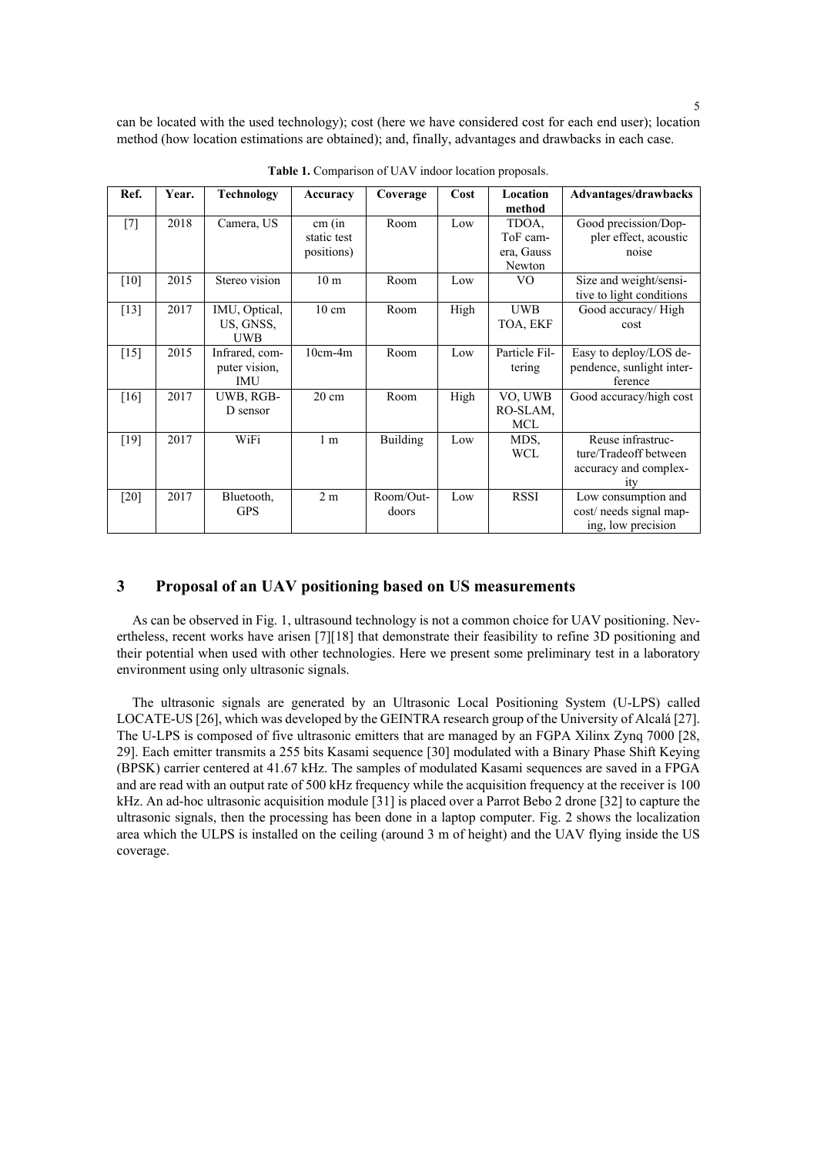can be located with the used technology); cost (here we have considered cost for each end user); location method (how location estimations are obtained); and, finally, advantages and drawbacks in each case.

| Ref.   | Year. | Technology     | Accuracy        | Coverage        | Cost | Location      | Advantages/drawbacks      |
|--------|-------|----------------|-----------------|-----------------|------|---------------|---------------------------|
|        |       |                |                 |                 |      | method        |                           |
| $[7]$  | 2018  | Camera, US     | cm (in          | Room            | Low  | TDOA,         | Good precission/Dop-      |
|        |       |                | static test     |                 |      | ToF cam-      | pler effect, acoustic     |
|        |       |                | positions)      |                 |      | era, Gauss    | noise                     |
|        |       |                |                 |                 |      | Newton        |                           |
| $[10]$ | 2015  | Stereo vision  | 10 <sub>m</sub> | Room            | Low  | VO.           | Size and weight/sensi-    |
|        |       |                |                 |                 |      |               | tive to light conditions  |
| $[13]$ | 2017  | IMU, Optical,  | $10 \text{ cm}$ | Room            | High | <b>UWB</b>    | Good accuracy/High        |
|        |       | US, GNSS,      |                 |                 |      | TOA, EKF      | cost                      |
|        |       | <b>UWB</b>     |                 |                 |      |               |                           |
| $[15]$ | 2015  | Infrared, com- | $10cm-4m$       | Room            | Low  | Particle Fil- | Easy to deploy/LOS de-    |
|        |       | puter vision,  |                 |                 |      | tering        | pendence, sunlight inter- |
|        |       | IMU            |                 |                 |      |               | ference                   |
| $[16]$ | 2017  | UWB, RGB-      | $20 \text{ cm}$ | Room            | High | VO, UWB       | Good accuracy/high cost   |
|        |       | D sensor       |                 |                 |      | RO-SLAM,      |                           |
|        |       |                |                 |                 |      | MCL           |                           |
| $[19]$ | 2017  | WiFi           | 1 <sub>m</sub>  | <b>Building</b> | Low  | MDS,          | Reuse infrastruc-         |
|        |       |                |                 |                 |      | <b>WCL</b>    | ture/Tradeoff between     |
|        |       |                |                 |                 |      |               | accuracy and complex-     |
|        |       |                |                 |                 |      |               | <sub>1</sub> tv           |
| $[20]$ | 2017  | Bluetooth,     | 2m              | Room/Out-       | Low  | <b>RSSI</b>   | Low consumption and       |
|        |       | <b>GPS</b>     |                 | doors           |      |               | cost/ needs signal map-   |
|        |       |                |                 |                 |      |               | ing, low precision        |

**Table 1.** Comparison of UAV indoor location proposals.

### **3 Proposal of an UAV positioning based on US measurements**

As can be observed in Fig. 1, ultrasound technology is not a common choice for UAV positioning. Nevertheless, recent works have arisen [7][18] that demonstrate their feasibility to refine 3D positioning and their potential when used with other technologies. Here we present some preliminary test in a laboratory environment using only ultrasonic signals.

The ultrasonic signals are generated by an Ultrasonic Local Positioning System (U-LPS) called LOCATE-US [26], which was developed by the GEINTRA research group of the University of Alcalá [27]. The U-LPS is composed of five ultrasonic emitters that are managed by an FGPA Xilinx Zynq 7000 [28, 29]. Each emitter transmits a 255 bits Kasami sequence [30] modulated with a Binary Phase Shift Keying (BPSK) carrier centered at 41.67 kHz. The samples of modulated Kasami sequences are saved in a FPGA and are read with an output rate of 500 kHz frequency while the acquisition frequency at the receiver is 100 kHz. An ad-hoc ultrasonic acquisition module [31] is placed over a Parrot Bebo 2 drone [32] to capture the ultrasonic signals, then the processing has been done in a laptop computer. Fig. 2 shows the localization area which the ULPS is installed on the ceiling (around 3 m of height) and the UAV flying inside the US coverage.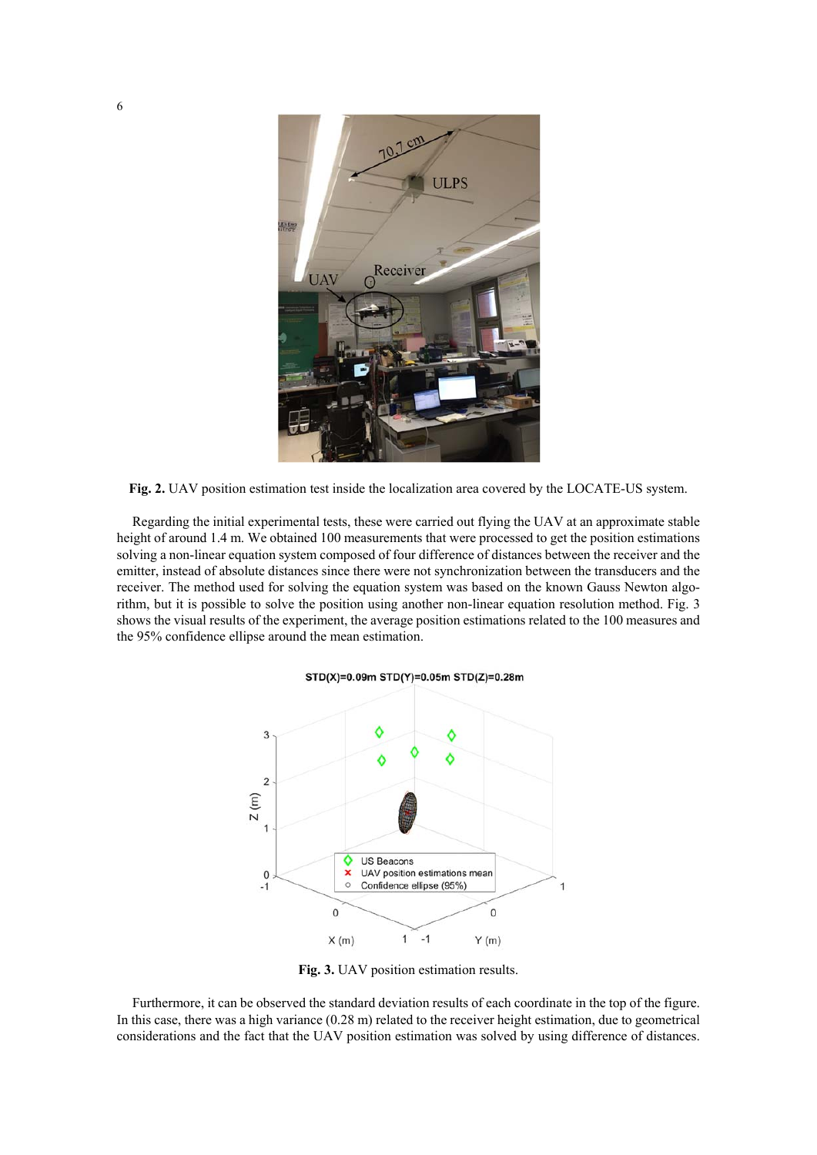

**Fig. 2.** UAV position estimation test inside the localization area covered by the LOCATE-US system.

Regarding the initial experimental tests, these were carried out flying the UAV at an approximate stable height of around 1.4 m. We obtained 100 measurements that were processed to get the position estimations solving a non-linear equation system composed of four difference of distances between the receiver and the emitter, instead of absolute distances since there were not synchronization between the transducers and the receiver. The method used for solving the equation system was based on the known Gauss Newton algorithm, but it is possible to solve the position using another non-linear equation resolution method. Fig. 3 shows the visual results of the experiment, the average position estimations related to the 100 measures and the 95% confidence ellipse around the mean estimation.

#### STD(X)=0.09m STD(Y)=0.05m STD(Z)=0.28m



**Fig. 3.** UAV position estimation results.

Furthermore, it can be observed the standard deviation results of each coordinate in the top of the figure. In this case, there was a high variance (0.28 m) related to the receiver height estimation, due to geometrical considerations and the fact that the UAV position estimation was solved by using difference of distances.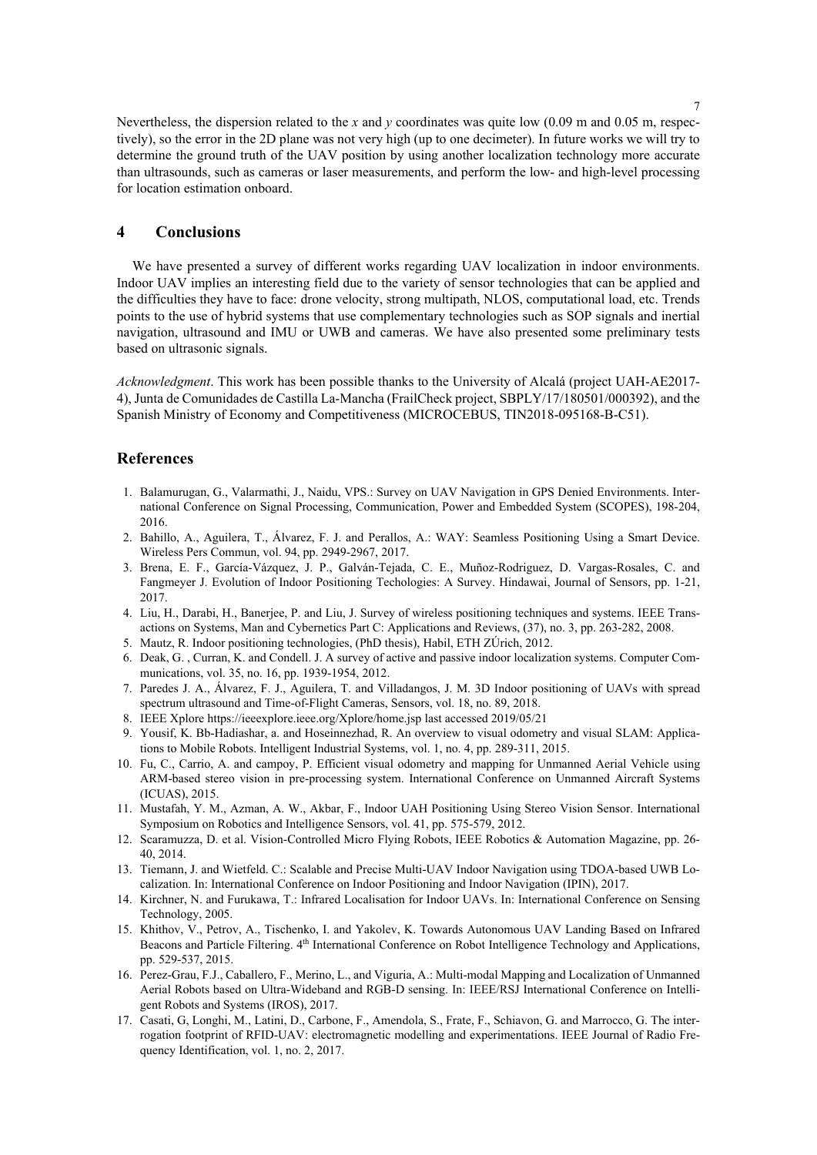Nevertheless, the dispersion related to the *x* and *y* coordinates was quite low (0.09 m and 0.05 m, respectively), so the error in the 2D plane was not very high (up to one decimeter). In future works we will try to determine the ground truth of the UAV position by using another localization technology more accurate than ultrasounds, such as cameras or laser measurements, and perform the low- and high-level processing for location estimation onboard.

# **4 Conclusions**

We have presented a survey of different works regarding UAV localization in indoor environments. Indoor UAV implies an interesting field due to the variety of sensor technologies that can be applied and the difficulties they have to face: drone velocity, strong multipath, NLOS, computational load, etc. Trends points to the use of hybrid systems that use complementary technologies such as SOP signals and inertial navigation, ultrasound and IMU or UWB and cameras. We have also presented some preliminary tests based on ultrasonic signals.

*Acknowledgment*. This work has been possible thanks to the University of Alcalá (project UAH-AE2017- 4), Junta de Comunidades de Castilla La-Mancha (FrailCheck project, SBPLY/17/180501/000392), and the Spanish Ministry of Economy and Competitiveness (MICROCEBUS, TIN2018-095168-B-C51).

# **References**

- 1. Balamurugan, G., Valarmathi, J., Naidu, VPS.: Survey on UAV Navigation in GPS Denied Environments. International Conference on Signal Processing, Communication, Power and Embedded System (SCOPES), 198-204, 2016.
- 2. Bahillo, A., Aguilera, T., Álvarez, F. J. and Perallos, A.: WAY: Seamless Positioning Using a Smart Device. Wireless Pers Commun, vol. 94, pp. 2949-2967, 2017.
- 3. Brena, E. F., García-Vázquez, J. P., Galván-Tejada, C. E., Muñoz-Rodriguez, D. Vargas-Rosales, C. and Fangmeyer J. Evolution of Indoor Positioning Techologies: A Survey. Hindawai, Journal of Sensors, pp. 1-21, 2017.
- 4. Liu, H., Darabi, H., Banerjee, P. and Liu, J. Survey of wireless positioning techniques and systems. IEEE Transactions on Systems, Man and Cybernetics Part C: Applications and Reviews, (37), no. 3, pp. 263-282, 2008.
- 5. Mautz, R. Indoor positioning technologies, (PhD thesis), Habil, ETH ZÚrich, 2012.
- 6. Deak, G. , Curran, K. and Condell. J. A survey of active and passive indoor localization systems. Computer Communications, vol. 35, no. 16, pp. 1939-1954, 2012.
- 7. Paredes J. A., Álvarez, F. J., Aguilera, T. and Villadangos, J. M. 3D Indoor positioning of UAVs with spread spectrum ultrasound and Time-of-Flight Cameras, Sensors, vol. 18, no. 89, 2018.
- 8. IEEE Xplore https://ieeexplore.ieee.org/Xplore/home.jsp last accessed 2019/05/21
- 9. Yousif, K. Bb-Hadiashar, a. and Hoseinnezhad, R. An overview to visual odometry and visual SLAM: Applications to Mobile Robots. Intelligent Industrial Systems, vol. 1, no. 4, pp. 289-311, 2015.
- 10. Fu, C., Carrio, A. and campoy, P. Efficient visual odometry and mapping for Unmanned Aerial Vehicle using ARM-based stereo vision in pre-processing system. International Conference on Unmanned Aircraft Systems (ICUAS), 2015.
- 11. Mustafah, Y. M., Azman, A. W., Akbar, F., Indoor UAH Positioning Using Stereo Vision Sensor. International Symposium on Robotics and Intelligence Sensors, vol. 41, pp. 575-579, 2012.
- 12. Scaramuzza, D. et al. Vision-Controlled Micro Flying Robots, IEEE Robotics & Automation Magazine, pp. 26- 40, 2014.
- 13. Tiemann, J. and Wietfeld. C.: Scalable and Precise Multi-UAV Indoor Navigation using TDOA-based UWB Localization. In: International Conference on Indoor Positioning and Indoor Navigation (IPIN), 2017.
- 14. Kirchner, N. and Furukawa, T.: Infrared Localisation for Indoor UAVs. In: International Conference on Sensing Technology, 2005.
- 15. Khithov, V., Petrov, A., Tischenko, I. and Yakolev, K. Towards Autonomous UAV Landing Based on Infrared Beacons and Particle Filtering. 4th International Conference on Robot Intelligence Technology and Applications, pp. 529-537, 2015.
- 16. Perez-Grau, F.J., Caballero, F., Merino, L., and Viguria, A.: Multi-modal Mapping and Localization of Unmanned Aerial Robots based on Ultra-Wideband and RGB-D sensing. In: IEEE/RSJ International Conference on Intelligent Robots and Systems (IROS), 2017.
- 17. Casati, G, Longhi, M., Latini, D., Carbone, F., Amendola, S., Frate, F., Schiavon, G. and Marrocco, G. The interrogation footprint of RFID-UAV: electromagnetic modelling and experimentations. IEEE Journal of Radio Frequency Identification, vol. 1, no. 2, 2017.